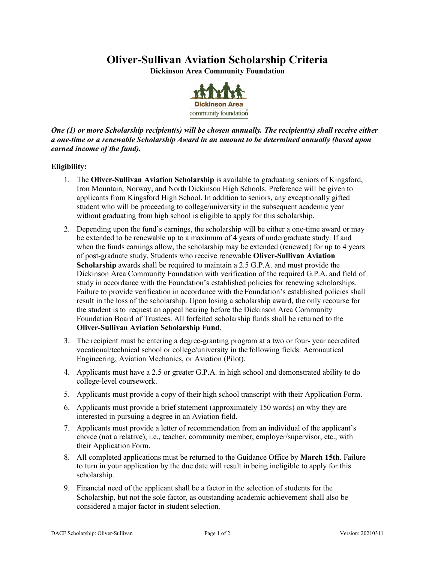## **Oliver-Sullivan Aviation Scholarship Criteria**

**Dickinson Area Community Foundation**



*One (1) or more Scholarship recipient(s) will be chosen annually. The recipient(s) shall receive either a one-time or a renewable Scholarship Award in an amount to be determined annually (based upon earned income of the fund).*

#### **Eligibility:**

- 1. The **Oliver-Sullivan Aviation Scholarship** is available to graduating seniors of Kingsford, Iron Mountain, Norway, and North Dickinson High Schools. Preference will be given to applicants from Kingsford High School. In addition to seniors, any exceptionally gifted student who will be proceeding to college/university in the subsequent academic year without graduating from high school is eligible to apply for this scholarship.
- 2. Depending upon the fund's earnings, the scholarship will be either a one-time award or may be extended to be renewable up to a maximum of 4 years of undergraduate study. If and when the funds earnings allow, the scholarship may be extended (renewed) for up to 4 years of post-graduate study. Students who receive renewable **Oliver-Sullivan Aviation Scholarship** awards shall be required to maintain a 2.5 G.P.A. and must provide the Dickinson Area Community Foundation with verification of the required G.P.A. and field of study in accordance with the Foundation's established policies for renewing scholarships. Failure to provide verification in accordance with the Foundation's established policies shall result in the loss of the scholarship. Upon losing a scholarship award, the only recourse for the student is to request an appeal hearing before the Dickinson Area Community Foundation Board of Trustees. All forfeited scholarship funds shall be returned to the **Oliver-Sullivan Aviation Scholarship Fund**.
- 3. The recipient must be entering a degree-granting program at a two or four- year accredited vocational/technical school or college/university in the following fields: Aeronautical Engineering, Aviation Mechanics, or Aviation (Pilot).
- 4. Applicants must have a 2.5 or greater G.P.A. in high school and demonstrated ability to do college-level coursework.
- 5. Applicants must provide a copy of their high school transcript with their Application Form.
- 6. Applicants must provide a brief statement (approximately 150 words) on why they are interested in pursuing a degree in an Aviation field.
- 7. Applicants must provide a letter of recommendation from an individual of the applicant's choice (not a relative), i.e., teacher, community member, employer/supervisor, etc., with their Application Form.
- 8. All completed applications must be returned to the Guidance Office by **March 15th**. Failure to turn in your application by the due date will result in being ineligible to apply for this scholarship.
- 9. Financial need of the applicant shall be a factor in the selection of students for the Scholarship, but not the sole factor, as outstanding academic achievement shall also be considered a major factor in student selection.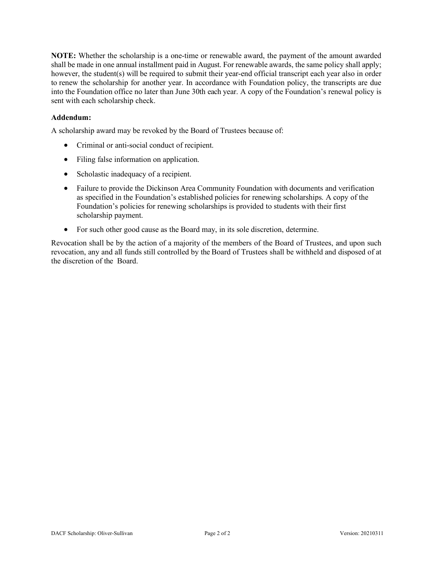**NOTE:** Whether the scholarship is a one-time or renewable award, the payment of the amount awarded shall be made in one annual installment paid in August. For renewable awards, the same policy shall apply; however, the student(s) will be required to submit their year-end official transcript each year also in order to renew the scholarship for another year. In accordance with Foundation policy, the transcripts are due into the Foundation office no later than June 30th each year. A copy of the Foundation's renewal policy is sent with each scholarship check.

## **Addendum:**

A scholarship award may be revoked by the Board of Trustees because of:

- Criminal or anti-social conduct of recipient.
- Filing false information on application.
- Scholastic inadequacy of a recipient.
- Failure to provide the Dickinson Area Community Foundation with documents and verification as specified in the Foundation's established policies for renewing scholarships. A copy of the Foundation's policies for renewing scholarships is provided to students with their first scholarship payment.
- For such other good cause as the Board may, in its sole discretion, determine.

Revocation shall be by the action of a majority of the members of the Board of Trustees, and upon such revocation, any and all funds still controlled by the Board of Trustees shall be withheld and disposed of at the discretion of the Board.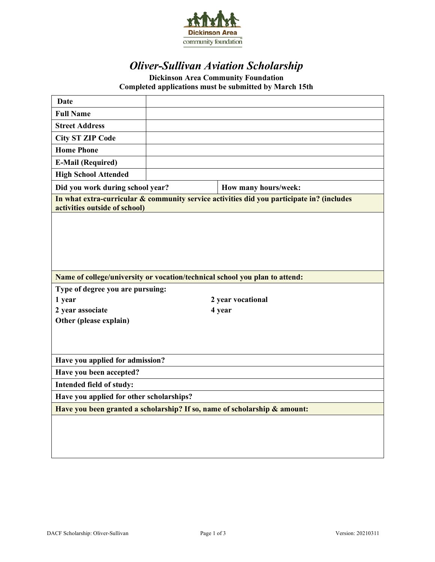

# *Oliver-Sullivan Aviation Scholarship*

## **Dickinson Area Community Foundation Completed applications must be submitted by March 15th**

| <b>Date</b>                              |                                                                                           |
|------------------------------------------|-------------------------------------------------------------------------------------------|
| <b>Full Name</b>                         |                                                                                           |
| <b>Street Address</b>                    |                                                                                           |
| <b>City ST ZIP Code</b>                  |                                                                                           |
| <b>Home Phone</b>                        |                                                                                           |
| <b>E-Mail (Required)</b>                 |                                                                                           |
| <b>High School Attended</b>              |                                                                                           |
| Did you work during school year?         | How many hours/week:                                                                      |
| activities outside of school)            | In what extra-curricular & community service activities did you participate in? (includes |
|                                          |                                                                                           |
|                                          | Name of college/university or vocation/technical school you plan to attend:               |
| Type of degree you are pursuing:         |                                                                                           |
| 1 year                                   | 2 year vocational                                                                         |
| 2 year associate                         | 4 year                                                                                    |
| Other (please explain)                   |                                                                                           |
|                                          |                                                                                           |
|                                          |                                                                                           |
| Have you applied for admission?          |                                                                                           |
| Have you been accepted?                  |                                                                                           |
| Intended field of study:                 |                                                                                           |
| Have you applied for other scholarships? |                                                                                           |
|                                          | Have you been granted a scholarship? If so, name of scholarship & amount:                 |
|                                          |                                                                                           |
|                                          |                                                                                           |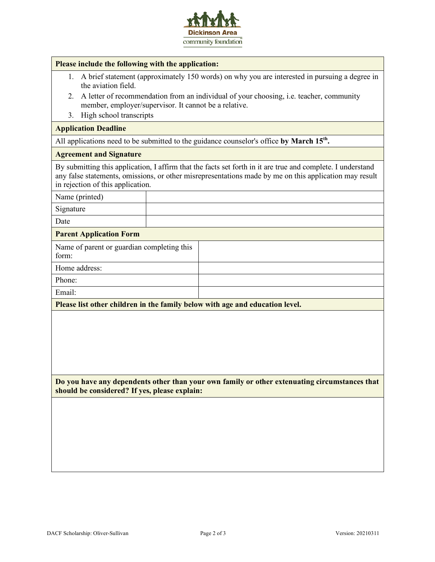

#### **Please include the following with the application:**

- 1. A brief statement (approximately 150 words) on why you are interested in pursuing a degree in the aviation field.
- 2. A letter of recommendation from an individual of your choosing, i.e. teacher, community member, employer/supervisor. It cannot be a relative.
- 3. High school transcripts

#### **Application Deadline**

All applications need to be submitted to the guidance counselor's office by March 15<sup>th</sup>.

#### **Agreement and Signature**

By submitting this application, I affirm that the facts set forth in it are true and complete. I understand any false statements, omissions, or other misrepresentations made by me on this application may result in rejection of this application.

Name (printed) Signature Date

#### **Parent Application Form**

Name of parent or guardian completing this form: Home address: Phone: Email:

**Please list other children in the family below with age and education level.**

**Do you have any dependents other than your own family or other extenuating circumstances that should be considered? If yes, please explain:**